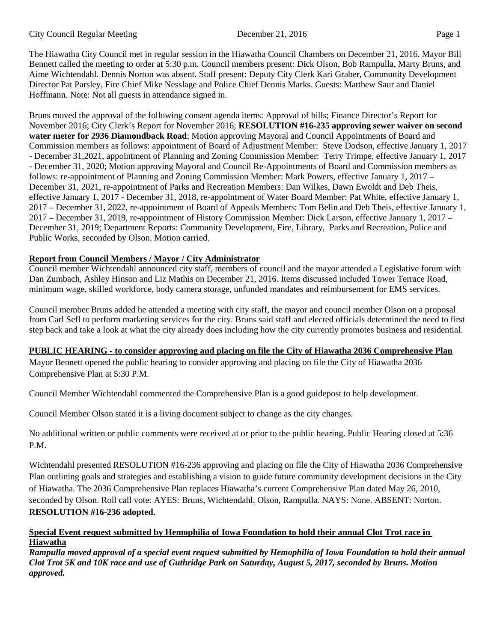The Hiawatha City Council met in regular session in the Hiawatha Council Chambers on December 21, 2016. Mayor Bill Bennett called the meeting to order at 5:30 p.m. Council members present: Dick Olson, Bob Rampulla, Marty Bruns, and Aime Wichtendahl. Dennis Norton was absent. Staff present: Deputy City Clerk Kari Graber, Community Development Director Pat Parsley, Fire Chief Mike Nesslage and Police Chief Dennis Marks. Guests: Matthew Saur and Daniel Hoffmann. Note: Not all guests in attendance signed in.

Bruns moved the approval of the following consent agenda items: Approval of bills; Finance Director's Report for November 2016; City Clerk's Report for November 2016; **RESOLUTION #16-235 approving sewer waiver on second water meter for 2936 Diamondback Road**; Motion approving Mayoral and Council Appointments of Board and Commission members as follows: appointment of Board of Adjustment Member: Steve Dodson, effective January 1, 2017 - December 31,2021, appointment of Planning and Zoning Commission Member: Terry Trimpe, effective January 1, 2017 - December 31, 2020; Motion approving Mayoral and Council Re-Appointments of Board and Commission members as follows: re-appointment of Planning and Zoning Commission Member: Mark Powers, effective January 1, 2017 – December 31, 2021, re-appointment of Parks and Recreation Members: Dan Wilkes, Dawn Ewoldt and Deb Theis, effective January 1, 2017 - December 31, 2018, re-appointment of Water Board Member: Pat White, effective January 1, 2017 – December 31, 2022, re-appointment of Board of Appeals Members: Tom Belin and Deb Theis, effective January 1, 2017 – December 31, 2019, re-appointment of History Commission Member: Dick Larson, effective January 1, 2017 – December 31, 2019; Department Reports: Community Development, Fire, Library, Parks and Recreation, Police and Public Works, seconded by Olson. Motion carried.

# **Report from Council Members / Mayor / City Administrator**

Council member Wichtendahl announced city staff, members of council and the mayor attended a Legislative forum with Dan Zumbach, Ashley Hinson and Liz Mathis on December 21, 2016. Items discussed included Tower Terrace Road, minimum wage, skilled workforce, body camera storage, unfunded mandates and reimbursement for EMS services.

Council member Bruns added he attended a meeting with city staff, the mayor and council member Olson on a proposal from Carl Sefl to perform marketing services for the city. Bruns said staff and elected officials determined the need to first step back and take a look at what the city already does including how the city currently promotes business and residential.

## **PUBLIC HEARING - to consider approving and placing on file the City of Hiawatha 2036 Comprehensive Plan**

Mayor Bennett opened the public hearing to consider approving and placing on file the City of Hiawatha 2036 Comprehensive Plan at 5:30 P.M.

Council Member Wichtendahl commented the Comprehensive Plan is a good guidepost to help development.

Council Member Olson stated it is a living document subject to change as the city changes.

No additional written or public comments were received at or prior to the public hearing. Public Hearing closed at 5:36 P.M.

Wichtendahl presented RESOLUTION #16-236 approving and placing on file the City of Hiawatha 2036 Comprehensive Plan outlining goals and strategies and establishing a vision to guide future community development decisions in the City of Hiawatha. The 2036 Comprehensive Plan replaces Hiawatha's current Comprehensive Plan dated May 26, 2010, seconded by Olson. Roll call vote: AYES: Bruns, Wichtendahl, Olson, Rampulla. NAYS: None. ABSENT: Norton. **RESOLUTION #16-236 adopted.** 

# **Special Event request submitted by Hemophilia of Iowa Foundation to hold their annual Clot Trot race in Hiawatha**

*Rampulla moved approval of a special event request submitted by Hemophilia of Iowa Foundation to hold their annual Clot Trot 5K and 10K race and use of Guthridge Park on Saturday, August 5, 2017, seconded by Bruns. Motion approved.*